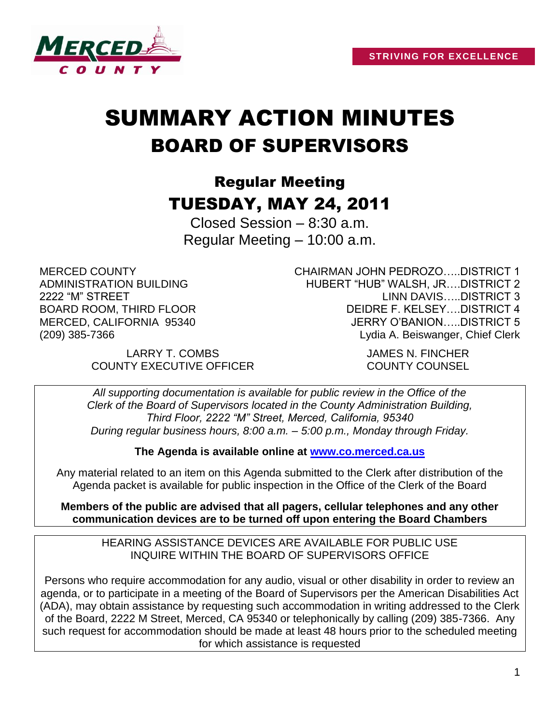

# SUMMARY ACTION MINUTES BOARD OF SUPERVISORS

# Regular Meeting TUESDAY, MAY 24, 2011

Closed Session – 8:30 a.m. Regular Meeting – 10:00 a.m.

MERCED COUNTY ADMINISTRATION BUILDING 2222 "M" STREET BOARD ROOM, THIRD FLOOR MERCED, CALIFORNIA 95340 (209) 385-7366

CHAIRMAN JOHN PEDROZO…..DISTRICT 1 HUBERT "HUB" WALSH, JR….DISTRICT 2 LINN DAVIS…..DISTRICT 3 DEIDRE F. KELSEY….DISTRICT 4 JERRY O'BANION…..DISTRICT 5 Lydia A. Beiswanger, Chief Clerk

LARRY T. COMBS JAMES N. FINCHER COUNTY EXECUTIVE OFFICER COUNTY COUNSEL

*All supporting documentation is available for public review in the Office of the Clerk of the Board of Supervisors located in the County Administration Building, Third Floor, 2222 "M" Street, Merced, California, 95340 During regular business hours, 8:00 a.m. – 5:00 p.m., Monday through Friday.*

**The Agenda is available online at [www.co.merced.ca.us](http://www.co.merced.ca.us/)**

Any material related to an item on this Agenda submitted to the Clerk after distribution of the Agenda packet is available for public inspection in the Office of the Clerk of the Board

**Members of the public are advised that all pagers, cellular telephones and any other communication devices are to be turned off upon entering the Board Chambers**

HEARING ASSISTANCE DEVICES ARE AVAILABLE FOR PUBLIC USE INQUIRE WITHIN THE BOARD OF SUPERVISORS OFFICE

Persons who require accommodation for any audio, visual or other disability in order to review an agenda, or to participate in a meeting of the Board of Supervisors per the American Disabilities Act (ADA), may obtain assistance by requesting such accommodation in writing addressed to the Clerk of the Board, 2222 M Street, Merced, CA 95340 or telephonically by calling (209) 385-7366. Any such request for accommodation should be made at least 48 hours prior to the scheduled meeting for which assistance is requested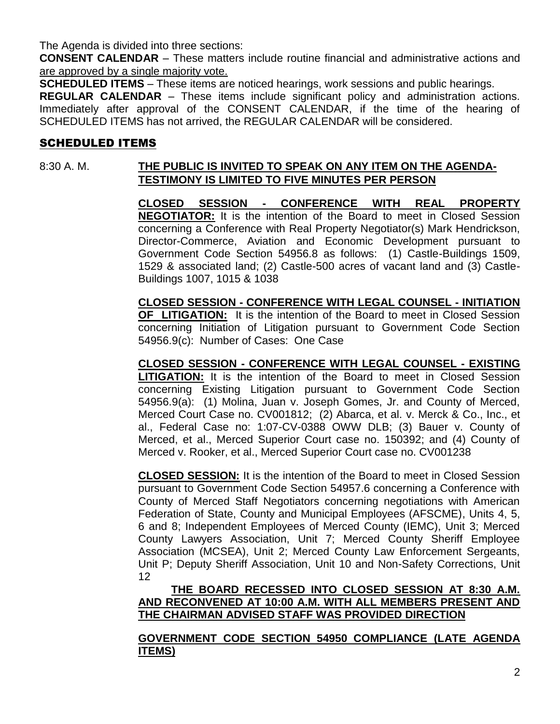The Agenda is divided into three sections:

**CONSENT CALENDAR** – These matters include routine financial and administrative actions and are approved by a single majority vote.

**SCHEDULED ITEMS** – These items are noticed hearings, work sessions and public hearings.

**REGULAR CALENDAR** – These items include significant policy and administration actions. Immediately after approval of the CONSENT CALENDAR, if the time of the hearing of SCHEDULED ITEMS has not arrived, the REGULAR CALENDAR will be considered.

# SCHEDULED ITEMS

# 8:30 A. M. **THE PUBLIC IS INVITED TO SPEAK ON ANY ITEM ON THE AGENDA-TESTIMONY IS LIMITED TO FIVE MINUTES PER PERSON**

**CLOSED SESSION - CONFERENCE WITH REAL PROPERTY NEGOTIATOR:** It is the intention of the Board to meet in Closed Session concerning a Conference with Real Property Negotiator(s) Mark Hendrickson, Director-Commerce, Aviation and Economic Development pursuant to Government Code Section 54956.8 as follows: (1) Castle-Buildings 1509, 1529 & associated land; (2) Castle-500 acres of vacant land and (3) Castle-Buildings 1007, 1015 & 1038

**CLOSED SESSION - CONFERENCE WITH LEGAL COUNSEL - INITIATION OF LITIGATION:** It is the intention of the Board to meet in Closed Session concerning Initiation of Litigation pursuant to Government Code Section 54956.9(c): Number of Cases: One Case

**CLOSED SESSION - CONFERENCE WITH LEGAL COUNSEL - EXISTING LITIGATION:** It is the intention of the Board to meet in Closed Session concerning Existing Litigation pursuant to Government Code Section 54956.9(a): (1) Molina, Juan v. Joseph Gomes, Jr. and County of Merced, Merced Court Case no. CV001812; (2) Abarca, et al. v. Merck & Co., Inc., et al., Federal Case no: 1:07-CV-0388 OWW DLB; (3) Bauer v. County of Merced, et al., Merced Superior Court case no. 150392; and (4) County of Merced v. Rooker, et al., Merced Superior Court case no. CV001238

**CLOSED SESSION:** It is the intention of the Board to meet in Closed Session pursuant to Government Code Section 54957.6 concerning a Conference with County of Merced Staff Negotiators concerning negotiations with American Federation of State, County and Municipal Employees (AFSCME), Units 4, 5, 6 and 8; Independent Employees of Merced County (IEMC), Unit 3; Merced County Lawyers Association, Unit 7; Merced County Sheriff Employee Association (MCSEA), Unit 2; Merced County Law Enforcement Sergeants, Unit P; Deputy Sheriff Association, Unit 10 and Non-Safety Corrections, Unit 12

**THE BOARD RECESSED INTO CLOSED SESSION AT 8:30 A.M. AND RECONVENED AT 10:00 A.M. WITH ALL MEMBERS PRESENT AND THE CHAIRMAN ADVISED STAFF WAS PROVIDED DIRECTION**

**GOVERNMENT CODE SECTION 54950 COMPLIANCE (LATE AGENDA ITEMS)**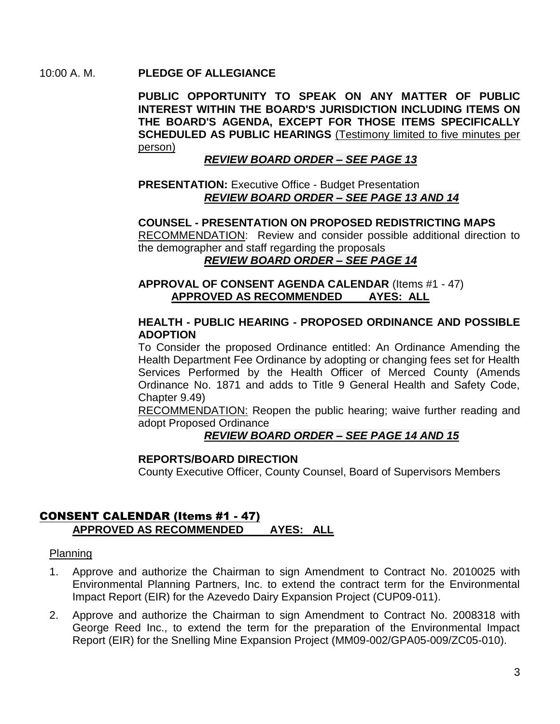#### 10:00 A. M. **PLEDGE OF ALLEGIANCE**

**PUBLIC OPPORTUNITY TO SPEAK ON ANY MATTER OF PUBLIC INTEREST WITHIN THE BOARD'S JURISDICTION INCLUDING ITEMS ON THE BOARD'S AGENDA, EXCEPT FOR THOSE ITEMS SPECIFICALLY SCHEDULED AS PUBLIC HEARINGS** (Testimony limited to five minutes per person)

#### *REVIEW BOARD ORDER – SEE PAGE 13*

#### **PRESENTATION: Executive Office - Budget Presentation** *REVIEW BOARD ORDER – SEE PAGE 13 AND 14*

#### **COUNSEL - PRESENTATION ON PROPOSED REDISTRICTING MAPS**

RECOMMENDATION: Review and consider possible additional direction to the demographer and staff regarding the proposals

# *REVIEW BOARD ORDER – SEE PAGE 14*

#### **APPROVAL OF CONSENT AGENDA CALENDAR** (Items #1 - 47) **APPROVED AS RECOMMENDED AYES: ALL**

#### **HEALTH - PUBLIC HEARING - PROPOSED ORDINANCE AND POSSIBLE ADOPTION**

To Consider the proposed Ordinance entitled: An Ordinance Amending the Health Department Fee Ordinance by adopting or changing fees set for Health Services Performed by the Health Officer of Merced County (Amends Ordinance No. 1871 and adds to Title 9 General Health and Safety Code, Chapter 9.49)

RECOMMENDATION: Reopen the public hearing; waive further reading and adopt Proposed Ordinance

#### *REVIEW BOARD ORDER – SEE PAGE 14 AND 15*

#### **REPORTS/BOARD DIRECTION**

County Executive Officer, County Counsel, Board of Supervisors Members

# CONSENT CALENDAR (Items #1 - 47) **APPROVED AS RECOMMENDED AYES: ALL**

#### Planning

- 1. Approve and authorize the Chairman to sign Amendment to Contract No. 2010025 with Environmental Planning Partners, Inc. to extend the contract term for the Environmental Impact Report (EIR) for the Azevedo Dairy Expansion Project (CUP09-011).
- 2. Approve and authorize the Chairman to sign Amendment to Contract No. 2008318 with George Reed Inc., to extend the term for the preparation of the Environmental Impact Report (EIR) for the Snelling Mine Expansion Project (MM09-002/GPA05-009/ZC05-010).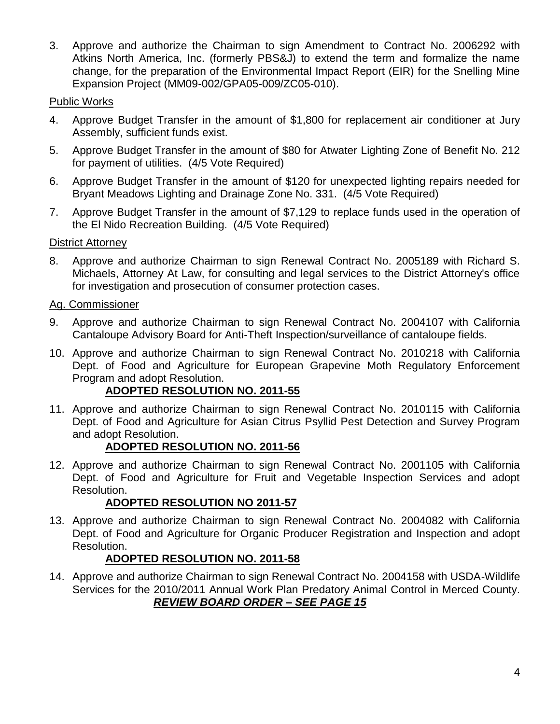3. Approve and authorize the Chairman to sign Amendment to Contract No. 2006292 with Atkins North America, Inc. (formerly PBS&J) to extend the term and formalize the name change, for the preparation of the Environmental Impact Report (EIR) for the Snelling Mine Expansion Project (MM09-002/GPA05-009/ZC05-010).

# Public Works

- 4. Approve Budget Transfer in the amount of \$1,800 for replacement air conditioner at Jury Assembly, sufficient funds exist.
- 5. Approve Budget Transfer in the amount of \$80 for Atwater Lighting Zone of Benefit No. 212 for payment of utilities. (4/5 Vote Required)
- 6. Approve Budget Transfer in the amount of \$120 for unexpected lighting repairs needed for Bryant Meadows Lighting and Drainage Zone No. 331. (4/5 Vote Required)
- 7. Approve Budget Transfer in the amount of \$7,129 to replace funds used in the operation of the El Nido Recreation Building. (4/5 Vote Required)

# **District Attorney**

8. Approve and authorize Chairman to sign Renewal Contract No. 2005189 with Richard S. Michaels, Attorney At Law, for consulting and legal services to the District Attorney's office for investigation and prosecution of consumer protection cases.

# Ag. Commissioner

- 9. Approve and authorize Chairman to sign Renewal Contract No. 2004107 with California Cantaloupe Advisory Board for Anti-Theft Inspection/surveillance of cantaloupe fields.
- 10. Approve and authorize Chairman to sign Renewal Contract No. 2010218 with California Dept. of Food and Agriculture for European Grapevine Moth Regulatory Enforcement Program and adopt Resolution.

# **ADOPTED RESOLUTION NO. 2011-55**

11. Approve and authorize Chairman to sign Renewal Contract No. 2010115 with California Dept. of Food and Agriculture for Asian Citrus Psyllid Pest Detection and Survey Program and adopt Resolution.

# **ADOPTED RESOLUTION NO. 2011-56**

12. Approve and authorize Chairman to sign Renewal Contract No. 2001105 with California Dept. of Food and Agriculture for Fruit and Vegetable Inspection Services and adopt Resolution.

# **ADOPTED RESOLUTION NO 2011-57**

13. Approve and authorize Chairman to sign Renewal Contract No. 2004082 with California Dept. of Food and Agriculture for Organic Producer Registration and Inspection and adopt Resolution.

# **ADOPTED RESOLUTION NO. 2011-58**

14. Approve and authorize Chairman to sign Renewal Contract No. 2004158 with USDA-Wildlife Services for the 2010/2011 Annual Work Plan Predatory Animal Control in Merced County. *REVIEW BOARD ORDER – SEE PAGE 15*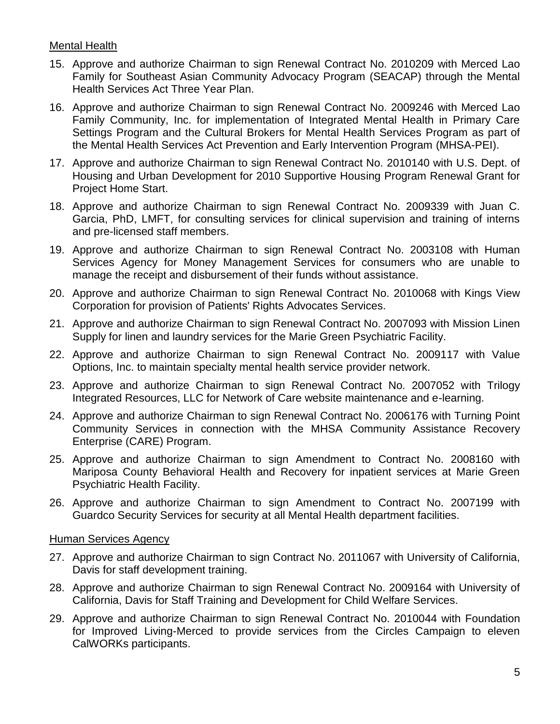#### Mental Health

- 15. Approve and authorize Chairman to sign Renewal Contract No. 2010209 with Merced Lao Family for Southeast Asian Community Advocacy Program (SEACAP) through the Mental Health Services Act Three Year Plan.
- 16. Approve and authorize Chairman to sign Renewal Contract No. 2009246 with Merced Lao Family Community, Inc. for implementation of Integrated Mental Health in Primary Care Settings Program and the Cultural Brokers for Mental Health Services Program as part of the Mental Health Services Act Prevention and Early Intervention Program (MHSA-PEI).
- 17. Approve and authorize Chairman to sign Renewal Contract No. 2010140 with U.S. Dept. of Housing and Urban Development for 2010 Supportive Housing Program Renewal Grant for Project Home Start.
- 18. Approve and authorize Chairman to sign Renewal Contract No. 2009339 with Juan C. Garcia, PhD, LMFT, for consulting services for clinical supervision and training of interns and pre-licensed staff members.
- 19. Approve and authorize Chairman to sign Renewal Contract No. 2003108 with Human Services Agency for Money Management Services for consumers who are unable to manage the receipt and disbursement of their funds without assistance.
- 20. Approve and authorize Chairman to sign Renewal Contract No. 2010068 with Kings View Corporation for provision of Patients' Rights Advocates Services.
- 21. Approve and authorize Chairman to sign Renewal Contract No. 2007093 with Mission Linen Supply for linen and laundry services for the Marie Green Psychiatric Facility.
- 22. Approve and authorize Chairman to sign Renewal Contract No. 2009117 with Value Options, Inc. to maintain specialty mental health service provider network.
- 23. Approve and authorize Chairman to sign Renewal Contract No. 2007052 with Trilogy Integrated Resources, LLC for Network of Care website maintenance and e-learning.
- 24. Approve and authorize Chairman to sign Renewal Contract No. 2006176 with Turning Point Community Services in connection with the MHSA Community Assistance Recovery Enterprise (CARE) Program.
- 25. Approve and authorize Chairman to sign Amendment to Contract No. 2008160 with Mariposa County Behavioral Health and Recovery for inpatient services at Marie Green Psychiatric Health Facility.
- 26. Approve and authorize Chairman to sign Amendment to Contract No. 2007199 with Guardco Security Services for security at all Mental Health department facilities.

#### Human Services Agency

- 27. Approve and authorize Chairman to sign Contract No. 2011067 with University of California, Davis for staff development training.
- 28. Approve and authorize Chairman to sign Renewal Contract No. 2009164 with University of California, Davis for Staff Training and Development for Child Welfare Services.
- 29. Approve and authorize Chairman to sign Renewal Contract No. 2010044 with Foundation for Improved Living-Merced to provide services from the Circles Campaign to eleven CalWORKs participants.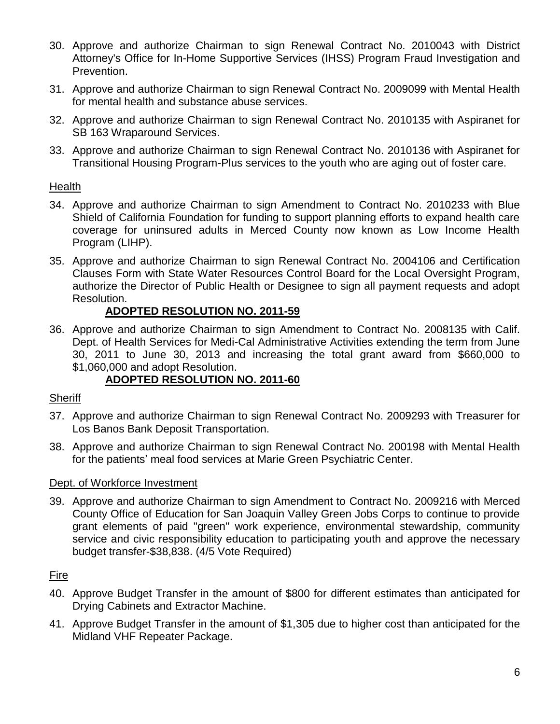- 30. Approve and authorize Chairman to sign Renewal Contract No. 2010043 with District Attorney's Office for In-Home Supportive Services (IHSS) Program Fraud Investigation and Prevention.
- 31. Approve and authorize Chairman to sign Renewal Contract No. 2009099 with Mental Health for mental health and substance abuse services.
- 32. Approve and authorize Chairman to sign Renewal Contract No. 2010135 with Aspiranet for SB 163 Wraparound Services.
- 33. Approve and authorize Chairman to sign Renewal Contract No. 2010136 with Aspiranet for Transitional Housing Program-Plus services to the youth who are aging out of foster care.

#### **Health**

- 34. Approve and authorize Chairman to sign Amendment to Contract No. 2010233 with Blue Shield of California Foundation for funding to support planning efforts to expand health care coverage for uninsured adults in Merced County now known as Low Income Health Program (LIHP).
- 35. Approve and authorize Chairman to sign Renewal Contract No. 2004106 and Certification Clauses Form with State Water Resources Control Board for the Local Oversight Program, authorize the Director of Public Health or Designee to sign all payment requests and adopt Resolution.

# **ADOPTED RESOLUTION NO. 2011-59**

36. Approve and authorize Chairman to sign Amendment to Contract No. 2008135 with Calif. Dept. of Health Services for Medi-Cal Administrative Activities extending the term from June 30, 2011 to June 30, 2013 and increasing the total grant award from \$660,000 to \$1,060,000 and adopt Resolution.

# **ADOPTED RESOLUTION NO. 2011-60**

#### **Sheriff**

- 37. Approve and authorize Chairman to sign Renewal Contract No. 2009293 with Treasurer for Los Banos Bank Deposit Transportation.
- 38. Approve and authorize Chairman to sign Renewal Contract No. 200198 with Mental Health for the patients' meal food services at Marie Green Psychiatric Center.

#### Dept. of Workforce Investment

39. Approve and authorize Chairman to sign Amendment to Contract No. 2009216 with Merced County Office of Education for San Joaquin Valley Green Jobs Corps to continue to provide grant elements of paid "green" work experience, environmental stewardship, community service and civic responsibility education to participating youth and approve the necessary budget transfer-\$38,838. (4/5 Vote Required)

# Fire

- 40. Approve Budget Transfer in the amount of \$800 for different estimates than anticipated for Drying Cabinets and Extractor Machine.
- 41. Approve Budget Transfer in the amount of \$1,305 due to higher cost than anticipated for the Midland VHF Repeater Package.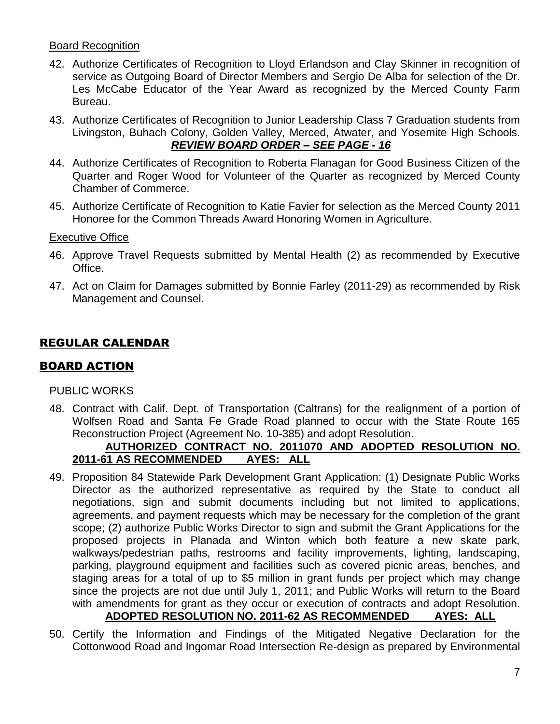#### Board Recognition

- 42. Authorize Certificates of Recognition to Lloyd Erlandson and Clay Skinner in recognition of service as Outgoing Board of Director Members and Sergio De Alba for selection of the Dr. Les McCabe Educator of the Year Award as recognized by the Merced County Farm Bureau.
- 43. Authorize Certificates of Recognition to Junior Leadership Class 7 Graduation students from Livingston, Buhach Colony, Golden Valley, Merced, Atwater, and Yosemite High Schools. *REVIEW BOARD ORDER – SEE PAGE - 16*
- 44. Authorize Certificates of Recognition to Roberta Flanagan for Good Business Citizen of the Quarter and Roger Wood for Volunteer of the Quarter as recognized by Merced County Chamber of Commerce.
- 45. Authorize Certificate of Recognition to Katie Favier for selection as the Merced County 2011 Honoree for the Common Threads Award Honoring Women in Agriculture.

#### Executive Office

- 46. Approve Travel Requests submitted by Mental Health (2) as recommended by Executive Office.
- 47. Act on Claim for Damages submitted by Bonnie Farley (2011-29) as recommended by Risk Management and Counsel.

# REGULAR CALENDAR

# BOARD ACTION

#### PUBLIC WORKS

48. Contract with Calif. Dept. of Transportation (Caltrans) for the realignment of a portion of Wolfsen Road and Santa Fe Grade Road planned to occur with the State Route 165 Reconstruction Project (Agreement No. 10-385) and adopt Resolution.

#### **AUTHORIZED CONTRACT NO. 2011070 AND ADOPTED RESOLUTION NO. 2011-61 AS RECOMMENDED AYES: ALL**

- 49. Proposition 84 Statewide Park Development Grant Application: (1) Designate Public Works Director as the authorized representative as required by the State to conduct all negotiations, sign and submit documents including but not limited to applications, agreements, and payment requests which may be necessary for the completion of the grant scope; (2) authorize Public Works Director to sign and submit the Grant Applications for the proposed projects in Planada and Winton which both feature a new skate park, walkways/pedestrian paths, restrooms and facility improvements, lighting, landscaping, parking, playground equipment and facilities such as covered picnic areas, benches, and staging areas for a total of up to \$5 million in grant funds per project which may change since the projects are not due until July 1, 2011; and Public Works will return to the Board with amendments for grant as they occur or execution of contracts and adopt Resolution. **ADOPTED RESOLUTION NO. 2011-62 AS RECOMMENDED AYES: ALL**
- 50. Certify the Information and Findings of the Mitigated Negative Declaration for the Cottonwood Road and Ingomar Road Intersection Re-design as prepared by Environmental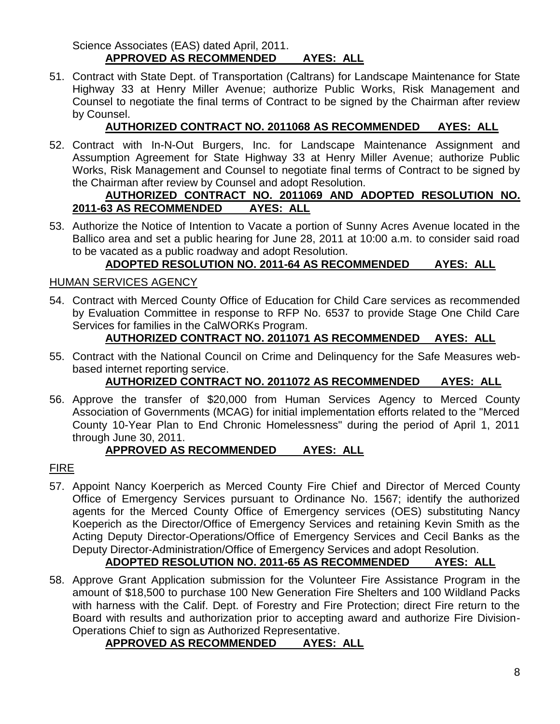Science Associates (EAS) dated April, 2011. **APPROVED AS RECOMMENDED AYES: ALL**

51. Contract with State Dept. of Transportation (Caltrans) for Landscape Maintenance for State Highway 33 at Henry Miller Avenue; authorize Public Works, Risk Management and Counsel to negotiate the final terms of Contract to be signed by the Chairman after review by Counsel.

# **AUTHORIZED CONTRACT NO. 2011068 AS RECOMMENDED AYES: ALL**

52. Contract with In-N-Out Burgers, Inc. for Landscape Maintenance Assignment and Assumption Agreement for State Highway 33 at Henry Miller Avenue; authorize Public Works, Risk Management and Counsel to negotiate final terms of Contract to be signed by the Chairman after review by Counsel and adopt Resolution.

#### **AUTHORIZED CONTRACT NO. 2011069 AND ADOPTED RESOLUTION NO. 2011-63 AS RECOMMENDED AYES: ALL**

53. Authorize the Notice of Intention to Vacate a portion of Sunny Acres Avenue located in the Ballico area and set a public hearing for June 28, 2011 at 10:00 a.m. to consider said road to be vacated as a public roadway and adopt Resolution.

# **ADOPTED RESOLUTION NO. 2011-64 AS RECOMMENDED AYES: ALL**

#### HUMAN SERVICES AGENCY

54. Contract with Merced County Office of Education for Child Care services as recommended by Evaluation Committee in response to RFP No. 6537 to provide Stage One Child Care Services for families in the CalWORKs Program.

# **AUTHORIZED CONTRACT NO. 2011071 AS RECOMMENDED AYES: ALL**

55. Contract with the National Council on Crime and Delinquency for the Safe Measures webbased internet reporting service.

# **AUTHORIZED CONTRACT NO. 2011072 AS RECOMMENDED AYES: ALL**

56. Approve the transfer of \$20,000 from Human Services Agency to Merced County Association of Governments (MCAG) for initial implementation efforts related to the "Merced County 10-Year Plan to End Chronic Homelessness" during the period of April 1, 2011 through June 30, 2011.

# **APPROVED AS RECOMMENDED AYES: ALL**

# FIRE

57. Appoint Nancy Koerperich as Merced County Fire Chief and Director of Merced County Office of Emergency Services pursuant to Ordinance No. 1567; identify the authorized agents for the Merced County Office of Emergency services (OES) substituting Nancy Koeperich as the Director/Office of Emergency Services and retaining Kevin Smith as the Acting Deputy Director-Operations/Office of Emergency Services and Cecil Banks as the Deputy Director-Administration/Office of Emergency Services and adopt Resolution.

# **ADOPTED RESOLUTION NO. 2011-65 AS RECOMMENDED AYES: ALL**

58. Approve Grant Application submission for the Volunteer Fire Assistance Program in the amount of \$18,500 to purchase 100 New Generation Fire Shelters and 100 Wildland Packs with harness with the Calif. Dept. of Forestry and Fire Protection; direct Fire return to the Board with results and authorization prior to accepting award and authorize Fire Division-Operations Chief to sign as Authorized Representative.

# **APPROVED AS RECOMMENDED AYES: ALL**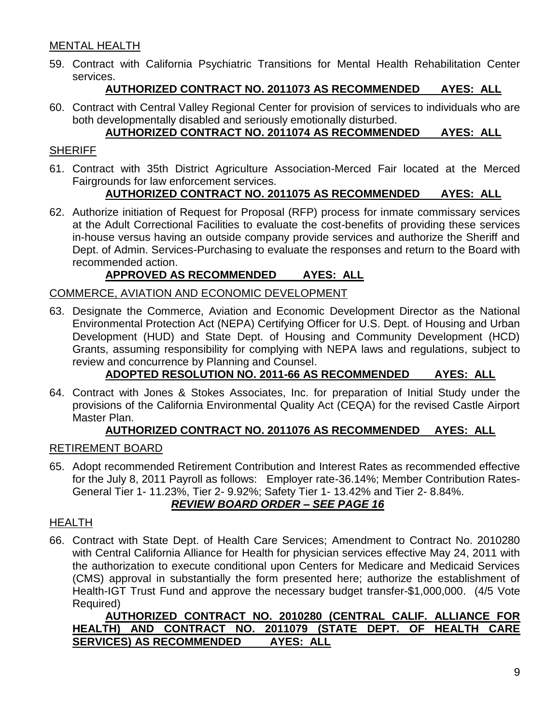# MENTAL HEALTH

59. Contract with California Psychiatric Transitions for Mental Health Rehabilitation Center services.

# **AUTHORIZED CONTRACT NO. 2011073 AS RECOMMENDED AYES: ALL**

60. Contract with Central Valley Regional Center for provision of services to individuals who are both developmentally disabled and seriously emotionally disturbed.

# **AUTHORIZED CONTRACT NO. 2011074 AS RECOMMENDED AYES: ALL**

#### **SHERIFF**

61. Contract with 35th District Agriculture Association-Merced Fair located at the Merced Fairgrounds for law enforcement services.

# **AUTHORIZED CONTRACT NO. 2011075 AS RECOMMENDED AYES: ALL**

62. Authorize initiation of Request for Proposal (RFP) process for inmate commissary services at the Adult Correctional Facilities to evaluate the cost-benefits of providing these services in-house versus having an outside company provide services and authorize the Sheriff and Dept. of Admin. Services-Purchasing to evaluate the responses and return to the Board with recommended action.

# **APPROVED AS RECOMMENDED AYES: ALL**

#### COMMERCE, AVIATION AND ECONOMIC DEVELOPMENT

63. Designate the Commerce, Aviation and Economic Development Director as the National Environmental Protection Act (NEPA) Certifying Officer for U.S. Dept. of Housing and Urban Development (HUD) and State Dept. of Housing and Community Development (HCD) Grants, assuming responsibility for complying with NEPA laws and regulations, subject to review and concurrence by Planning and Counsel.

# **ADOPTED RESOLUTION NO. 2011-66 AS RECOMMENDED AYES: ALL**

64. Contract with Jones & Stokes Associates, Inc. for preparation of Initial Study under the provisions of the California Environmental Quality Act (CEQA) for the revised Castle Airport Master Plan.

#### **AUTHORIZED CONTRACT NO. 2011076 AS RECOMMENDED AYES: ALL**

#### RETIREMENT BOARD

65. Adopt recommended Retirement Contribution and Interest Rates as recommended effective for the July 8, 2011 Payroll as follows: Employer rate-36.14%; Member Contribution Rates-General Tier 1- 11.23%, Tier 2- 9.92%; Safety Tier 1- 13.42% and Tier 2- 8.84%.

# *REVIEW BOARD ORDER – SEE PAGE 16*

#### **HEALTH**

66. Contract with State Dept. of Health Care Services; Amendment to Contract No. 2010280 with Central California Alliance for Health for physician services effective May 24, 2011 with the authorization to execute conditional upon Centers for Medicare and Medicaid Services (CMS) approval in substantially the form presented here; authorize the establishment of Health-IGT Trust Fund and approve the necessary budget transfer-\$1,000,000. (4/5 Vote Required)

**AUTHORIZED CONTRACT NO. 2010280 (CENTRAL CALIF. ALLIANCE FOR HEALTH) AND CONTRACT NO. 2011079 (STATE DEPT. OF HEALTH CARE SERVICES) AS RECOMMENDED AYES: ALL**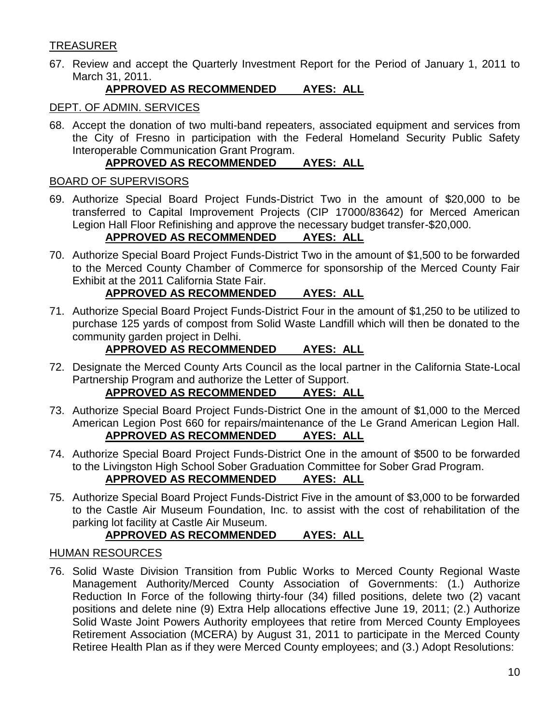# **TREASURER**

67. Review and accept the Quarterly Investment Report for the Period of January 1, 2011 to March 31, 2011.

# **APPROVED AS RECOMMENDED AYES: ALL**

#### DEPT. OF ADMIN. SERVICES

68. Accept the donation of two multi-band repeaters, associated equipment and services from the City of Fresno in participation with the Federal Homeland Security Public Safety Interoperable Communication Grant Program.

# **APPROVED AS RECOMMENDED AYES: ALL**

#### BOARD OF SUPERVISORS

69. Authorize Special Board Project Funds-District Two in the amount of \$20,000 to be transferred to Capital Improvement Projects (CIP 17000/83642) for Merced American Legion Hall Floor Refinishing and approve the necessary budget transfer-\$20,000.

# **APPROVED AS RECOMMENDED AYES: ALL**

70. Authorize Special Board Project Funds-District Two in the amount of \$1,500 to be forwarded to the Merced County Chamber of Commerce for sponsorship of the Merced County Fair Exhibit at the 2011 California State Fair.

# **APPROVED AS RECOMMENDED AYES: ALL**

71. Authorize Special Board Project Funds-District Four in the amount of \$1,250 to be utilized to purchase 125 yards of compost from Solid Waste Landfill which will then be donated to the community garden project in Delhi.

# **APPROVED AS RECOMMENDED AYES: ALL**

72. Designate the Merced County Arts Council as the local partner in the California State-Local Partnership Program and authorize the Letter of Support.

# **APPROVED AS RECOMMENDED AYES: ALL**

- 73. Authorize Special Board Project Funds-District One in the amount of \$1,000 to the Merced American Legion Post 660 for repairs/maintenance of the Le Grand American Legion Hall. **APPROVED AS RECOMMENDED AYES: ALL**
- 74. Authorize Special Board Project Funds-District One in the amount of \$500 to be forwarded to the Livingston High School Sober Graduation Committee for Sober Grad Program. **APPROVED AS RECOMMENDED AYES: ALL**
- 75. Authorize Special Board Project Funds-District Five in the amount of \$3,000 to be forwarded to the Castle Air Museum Foundation, Inc. to assist with the cost of rehabilitation of the parking lot facility at Castle Air Museum.

# **APPROVED AS RECOMMENDED AYES: ALL**

# HUMAN RESOURCES

76. Solid Waste Division Transition from Public Works to Merced County Regional Waste Management Authority/Merced County Association of Governments: (1.) Authorize Reduction In Force of the following thirty-four (34) filled positions, delete two (2) vacant positions and delete nine (9) Extra Help allocations effective June 19, 2011; (2.) Authorize Solid Waste Joint Powers Authority employees that retire from Merced County Employees Retirement Association (MCERA) by August 31, 2011 to participate in the Merced County Retiree Health Plan as if they were Merced County employees; and (3.) Adopt Resolutions: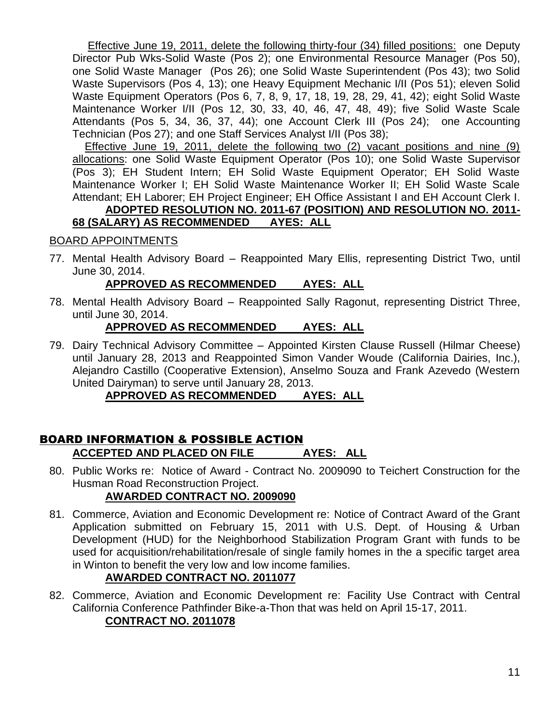Effective June 19, 2011, delete the following thirty-four (34) filled positions: one Deputy Director Pub Wks-Solid Waste (Pos 2); one Environmental Resource Manager (Pos 50), one Solid Waste Manager (Pos 26); one Solid Waste Superintendent (Pos 43); two Solid Waste Supervisors (Pos 4, 13); one Heavy Equipment Mechanic I/II (Pos 51); eleven Solid Waste Equipment Operators (Pos 6, 7, 8, 9, 17, 18, 19, 28, 29, 41, 42); eight Solid Waste Maintenance Worker I/II (Pos 12, 30, 33, 40, 46, 47, 48, 49); five Solid Waste Scale Attendants (Pos 5, 34, 36, 37, 44); one Account Clerk III (Pos 24); one Accounting Technician (Pos 27); and one Staff Services Analyst I/II (Pos 38);

 Effective June 19, 2011, delete the following two (2) vacant positions and nine (9) allocations: one Solid Waste Equipment Operator (Pos 10); one Solid Waste Supervisor (Pos 3); EH Student Intern; EH Solid Waste Equipment Operator; EH Solid Waste Maintenance Worker I; EH Solid Waste Maintenance Worker II; EH Solid Waste Scale Attendant; EH Laborer; EH Project Engineer; EH Office Assistant I and EH Account Clerk I.

#### **ADOPTED RESOLUTION NO. 2011-67 (POSITION) AND RESOLUTION NO. 2011- 68 (SALARY) AS RECOMMENDED AYES: ALL**

# BOARD APPOINTMENTS

77. Mental Health Advisory Board – Reappointed Mary Ellis, representing District Two, until June 30, 2014.

#### **APPROVED AS RECOMMENDED AYES: ALL**

78. Mental Health Advisory Board – Reappointed Sally Ragonut, representing District Three, until June 30, 2014.

# **APPROVED AS RECOMMENDED AYES: ALL**

79. Dairy Technical Advisory Committee – Appointed Kirsten Clause Russell (Hilmar Cheese) until January 28, 2013 and Reappointed Simon Vander Woude (California Dairies, Inc.), Alejandro Castillo (Cooperative Extension), Anselmo Souza and Frank Azevedo (Western United Dairyman) to serve until January 28, 2013.

# **APPROVED AS RECOMMENDED AYES: ALL**

#### BOARD INFORMATION & POSSIBLE ACTION **ACCEPTED AND PLACED ON FILE AYES: ALL**

80. Public Works re: Notice of Award - Contract No. 2009090 to Teichert Construction for the Husman Road Reconstruction Project.

# **AWARDED CONTRACT NO. 2009090**

81. Commerce, Aviation and Economic Development re: Notice of Contract Award of the Grant Application submitted on February 15, 2011 with U.S. Dept. of Housing & Urban Development (HUD) for the Neighborhood Stabilization Program Grant with funds to be used for acquisition/rehabilitation/resale of single family homes in the a specific target area in Winton to benefit the very low and low income families.

# **AWARDED CONTRACT NO. 2011077**

82. Commerce, Aviation and Economic Development re: Facility Use Contract with Central California Conference Pathfinder Bike-a-Thon that was held on April 15-17, 2011. **CONTRACT NO. 2011078**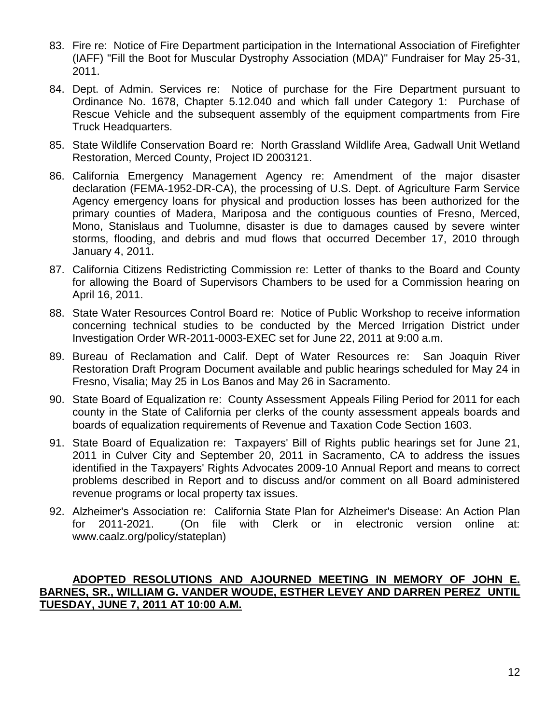- 83. Fire re: Notice of Fire Department participation in the International Association of Firefighter (IAFF) "Fill the Boot for Muscular Dystrophy Association (MDA)" Fundraiser for May 25-31, 2011.
- 84. Dept. of Admin. Services re: Notice of purchase for the Fire Department pursuant to Ordinance No. 1678, Chapter 5.12.040 and which fall under Category 1: Purchase of Rescue Vehicle and the subsequent assembly of the equipment compartments from Fire Truck Headquarters.
- 85. State Wildlife Conservation Board re: North Grassland Wildlife Area, Gadwall Unit Wetland Restoration, Merced County, Project ID 2003121.
- 86. California Emergency Management Agency re: Amendment of the major disaster declaration (FEMA-1952-DR-CA), the processing of U.S. Dept. of Agriculture Farm Service Agency emergency loans for physical and production losses has been authorized for the primary counties of Madera, Mariposa and the contiguous counties of Fresno, Merced, Mono, Stanislaus and Tuolumne, disaster is due to damages caused by severe winter storms, flooding, and debris and mud flows that occurred December 17, 2010 through January 4, 2011.
- 87. California Citizens Redistricting Commission re: Letter of thanks to the Board and County for allowing the Board of Supervisors Chambers to be used for a Commission hearing on April 16, 2011.
- 88. State Water Resources Control Board re: Notice of Public Workshop to receive information concerning technical studies to be conducted by the Merced Irrigation District under Investigation Order WR-2011-0003-EXEC set for June 22, 2011 at 9:00 a.m.
- 89. Bureau of Reclamation and Calif. Dept of Water Resources re: San Joaquin River Restoration Draft Program Document available and public hearings scheduled for May 24 in Fresno, Visalia; May 25 in Los Banos and May 26 in Sacramento.
- 90. State Board of Equalization re: County Assessment Appeals Filing Period for 2011 for each county in the State of California per clerks of the county assessment appeals boards and boards of equalization requirements of Revenue and Taxation Code Section 1603.
- 91. State Board of Equalization re: Taxpayers' Bill of Rights public hearings set for June 21, 2011 in Culver City and September 20, 2011 in Sacramento, CA to address the issues identified in the Taxpayers' Rights Advocates 2009-10 Annual Report and means to correct problems described in Report and to discuss and/or comment on all Board administered revenue programs or local property tax issues.
- 92. Alzheimer's Association re: California State Plan for Alzheimer's Disease: An Action Plan for 2011-2021. (On file with Clerk or in electronic version online at: www.caalz.org/policy/stateplan)

#### **ADOPTED RESOLUTIONS AND AJOURNED MEETING IN MEMORY OF JOHN E. BARNES, SR., WILLIAM G. VANDER WOUDE, ESTHER LEVEY AND DARREN PEREZ UNTIL TUESDAY, JUNE 7, 2011 AT 10:00 A.M.**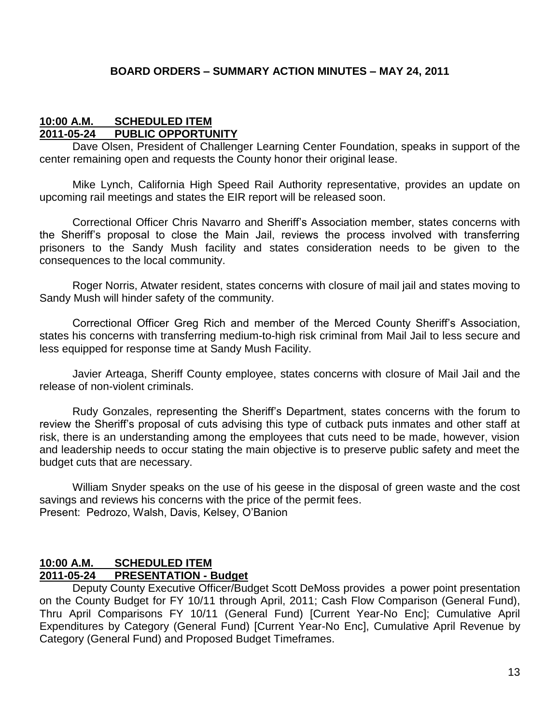#### **BOARD ORDERS – SUMMARY ACTION MINUTES – MAY 24, 2011**

#### **10:00 A.M. SCHEDULED ITEM 2011-05-24 PUBLIC OPPORTUNITY**

Dave Olsen, President of Challenger Learning Center Foundation, speaks in support of the center remaining open and requests the County honor their original lease.

Mike Lynch, California High Speed Rail Authority representative, provides an update on upcoming rail meetings and states the EIR report will be released soon.

Correctional Officer Chris Navarro and Sheriff's Association member, states concerns with the Sheriff's proposal to close the Main Jail, reviews the process involved with transferring prisoners to the Sandy Mush facility and states consideration needs to be given to the consequences to the local community.

Roger Norris, Atwater resident, states concerns with closure of mail jail and states moving to Sandy Mush will hinder safety of the community.

Correctional Officer Greg Rich and member of the Merced County Sheriff's Association, states his concerns with transferring medium-to-high risk criminal from Mail Jail to less secure and less equipped for response time at Sandy Mush Facility.

Javier Arteaga, Sheriff County employee, states concerns with closure of Mail Jail and the release of non-violent criminals.

Rudy Gonzales, representing the Sheriff's Department, states concerns with the forum to review the Sheriff's proposal of cuts advising this type of cutback puts inmates and other staff at risk, there is an understanding among the employees that cuts need to be made, however, vision and leadership needs to occur stating the main objective is to preserve public safety and meet the budget cuts that are necessary.

William Snyder speaks on the use of his geese in the disposal of green waste and the cost savings and reviews his concerns with the price of the permit fees. Present: Pedrozo, Walsh, Davis, Kelsey, O'Banion

#### **10:00 A.M. SCHEDULED ITEM 2011-05-24 PRESENTATION - Budget**

Deputy County Executive Officer/Budget Scott DeMoss provides a power point presentation on the County Budget for FY 10/11 through April, 2011; Cash Flow Comparison (General Fund), Thru April Comparisons FY 10/11 (General Fund) [Current Year-No Enc]; Cumulative April Expenditures by Category (General Fund) [Current Year-No Enc], Cumulative April Revenue by Category (General Fund) and Proposed Budget Timeframes.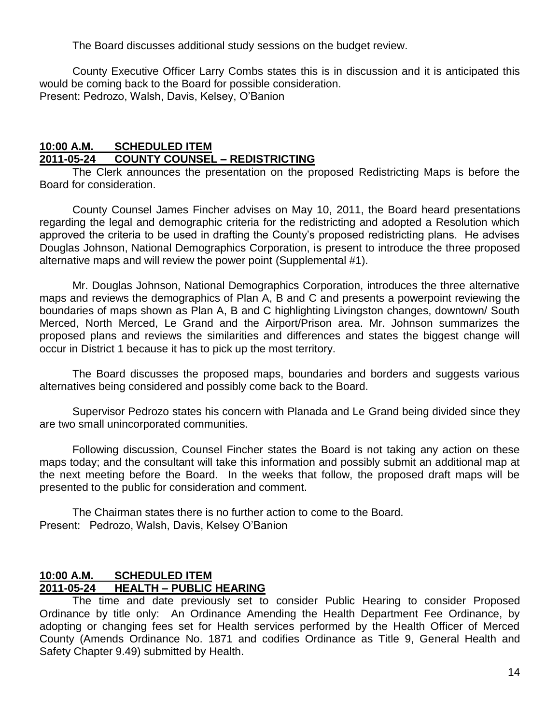The Board discusses additional study sessions on the budget review.

County Executive Officer Larry Combs states this is in discussion and it is anticipated this would be coming back to the Board for possible consideration. Present: Pedrozo, Walsh, Davis, Kelsey, O'Banion

#### **10:00 A.M. SCHEDULED ITEM 2011-05-24 COUNTY COUNSEL – REDISTRICTING**

The Clerk announces the presentation on the proposed Redistricting Maps is before the Board for consideration.

County Counsel James Fincher advises on May 10, 2011, the Board heard presentations regarding the legal and demographic criteria for the redistricting and adopted a Resolution which approved the criteria to be used in drafting the County's proposed redistricting plans. He advises Douglas Johnson, National Demographics Corporation, is present to introduce the three proposed alternative maps and will review the power point (Supplemental #1).

Mr. Douglas Johnson, National Demographics Corporation, introduces the three alternative maps and reviews the demographics of Plan A, B and C and presents a powerpoint reviewing the boundaries of maps shown as Plan A, B and C highlighting Livingston changes, downtown/ South Merced, North Merced, Le Grand and the Airport/Prison area. Mr. Johnson summarizes the proposed plans and reviews the similarities and differences and states the biggest change will occur in District 1 because it has to pick up the most territory.

The Board discusses the proposed maps, boundaries and borders and suggests various alternatives being considered and possibly come back to the Board.

Supervisor Pedrozo states his concern with Planada and Le Grand being divided since they are two small unincorporated communities.

Following discussion, Counsel Fincher states the Board is not taking any action on these maps today; and the consultant will take this information and possibly submit an additional map at the next meeting before the Board. In the weeks that follow, the proposed draft maps will be presented to the public for consideration and comment.

The Chairman states there is no further action to come to the Board. Present: Pedrozo, Walsh, Davis, Kelsey O'Banion

#### **10:00 A.M. SCHEDULED ITEM 2011-05-24 HEALTH – PUBLIC HEARING**

The time and date previously set to consider Public Hearing to consider Proposed Ordinance by title only: An Ordinance Amending the Health Department Fee Ordinance, by adopting or changing fees set for Health services performed by the Health Officer of Merced County (Amends Ordinance No. 1871 and codifies Ordinance as Title 9, General Health and Safety Chapter 9.49) submitted by Health.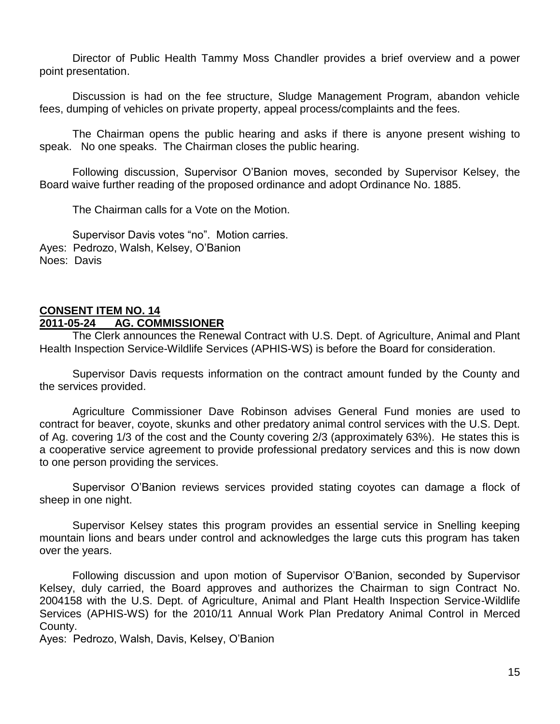Director of Public Health Tammy Moss Chandler provides a brief overview and a power point presentation.

Discussion is had on the fee structure, Sludge Management Program, abandon vehicle fees, dumping of vehicles on private property, appeal process/complaints and the fees.

The Chairman opens the public hearing and asks if there is anyone present wishing to speak. No one speaks. The Chairman closes the public hearing.

Following discussion, Supervisor O'Banion moves, seconded by Supervisor Kelsey, the Board waive further reading of the proposed ordinance and adopt Ordinance No. 1885.

The Chairman calls for a Vote on the Motion.

Supervisor Davis votes "no". Motion carries. Ayes: Pedrozo, Walsh, Kelsey, O'Banion Noes: Davis

#### **CONSENT ITEM NO. 14 2011-05-24 AG. COMMISSIONER**

The Clerk announces the Renewal Contract with U.S. Dept. of Agriculture, Animal and Plant Health Inspection Service-Wildlife Services (APHIS-WS) is before the Board for consideration.

Supervisor Davis requests information on the contract amount funded by the County and the services provided.

Agriculture Commissioner Dave Robinson advises General Fund monies are used to contract for beaver, coyote, skunks and other predatory animal control services with the U.S. Dept. of Ag. covering 1/3 of the cost and the County covering 2/3 (approximately 63%). He states this is a cooperative service agreement to provide professional predatory services and this is now down to one person providing the services.

Supervisor O'Banion reviews services provided stating coyotes can damage a flock of sheep in one night.

Supervisor Kelsey states this program provides an essential service in Snelling keeping mountain lions and bears under control and acknowledges the large cuts this program has taken over the years.

Following discussion and upon motion of Supervisor O'Banion, seconded by Supervisor Kelsey, duly carried, the Board approves and authorizes the Chairman to sign Contract No. 2004158 with the U.S. Dept. of Agriculture, Animal and Plant Health Inspection Service-Wildlife Services (APHIS-WS) for the 2010/11 Annual Work Plan Predatory Animal Control in Merced County.

Ayes: Pedrozo, Walsh, Davis, Kelsey, O'Banion